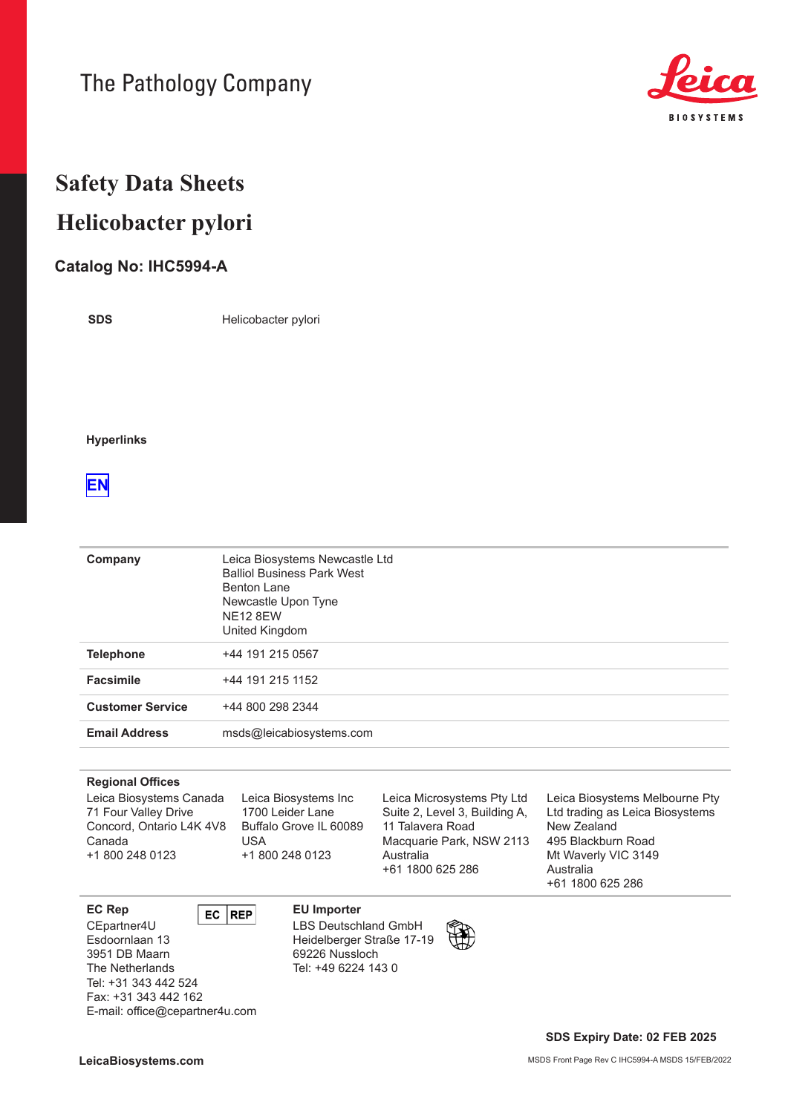# The Pathology Company



# **Safety Data Sheets Helicobacter pylori**

### **Catalog No: IHC5994-A**

**SDS**

Helicobacter pylori

#### **Hyperlinks**

### **[EN](#page-1-0)**

| Company                 | Leica Biosystems Newcastle Ltd<br><b>Balliol Business Park West</b><br><b>Benton Lane</b><br>Newcastle Upon Tyne<br><b>NE12 8EW</b><br>United Kingdom |
|-------------------------|-------------------------------------------------------------------------------------------------------------------------------------------------------|
| <b>Telephone</b>        | +44 191 215 0567                                                                                                                                      |
| <b>Facsimile</b>        | +44 191 215 1152                                                                                                                                      |
| <b>Customer Service</b> | +44 800 298 2344                                                                                                                                      |
| <b>Email Address</b>    | msds@leicabiosystems.com                                                                                                                              |

#### **Regional Offices**

Leica Biosystems Canada 71 Four Valley Drive Concord, Ontario L4K 4V8 Canada +1 800 248 0123

Leica Biosystems Inc 1700 Leider Lane Buffalo Grove IL 60089 USA +1 800 248 0123

Leica Microsystems Pty Ltd Suite 2, Level 3, Building A, 11 Talavera Road Macquarie Park, NSW 2113 Australia +61 1800 625 286

Leica Biosystems Melbourne Pty Ltd trading as Leica Biosystems New Zealand 495 Blackburn Road Mt Waverly VIC 3149 Australia +61 1800 625 286

**EC Rep EU Importer** 

CEpartner4U Esdoornlaan 13 3951 DB Maarn The Netherlands Tel: +31 343 442 524 Fax: +31 343 442 162 E-mail: office@cepartner4u.com

#### LBS Deutschland GmbH

Heidelberger Straße 17-19 69226 Nussloch Tel: +49 6224 143 0

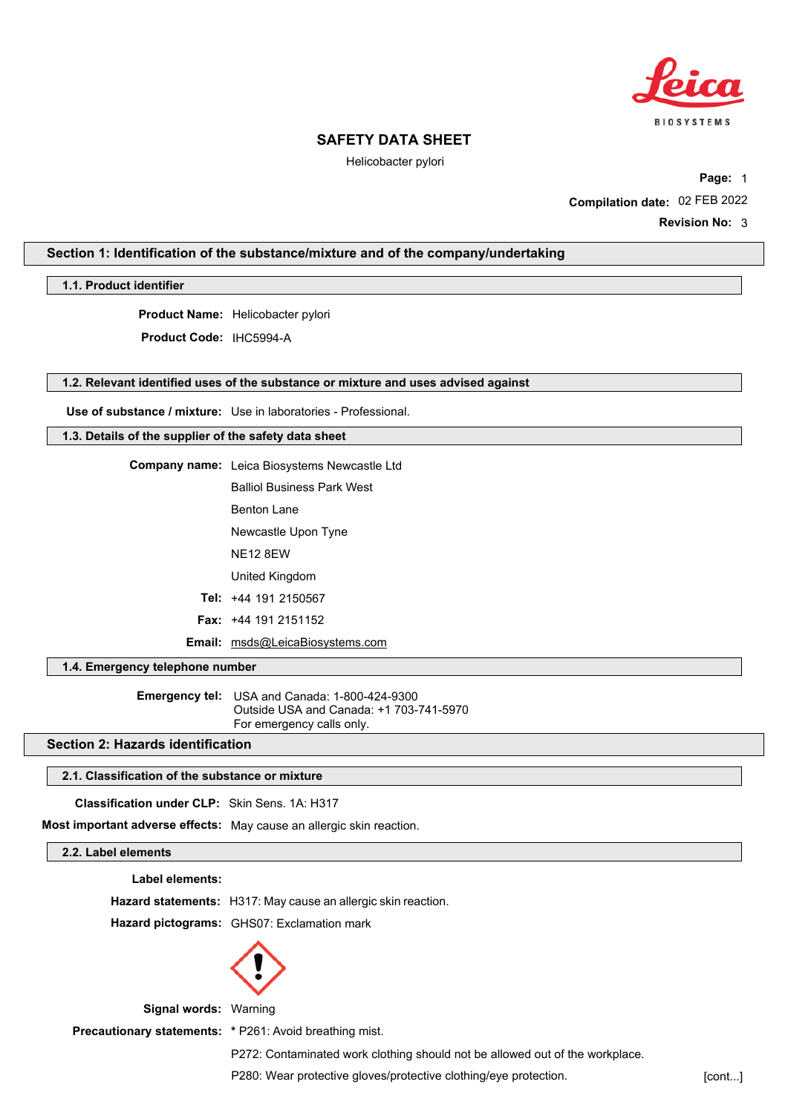

Helicobacter pylori

**Compilation date:** 02 FEB 2022 **Page:** 1

**Revision No:** 3

#### <span id="page-1-0"></span>**Section 1: Identification of the substance/mixture and of the company/undertaking**

**1.1. Product identifier**

**Product Name:** Helicobacter pylori

**Product Code:** IHC5994-A

#### **1.2. Relevant identified uses of the substance or mixture and uses advised against**

**Use of substance / mixture:** Use in laboratories - Professional.

#### **1.3. Details of the supplier of the safety data sheet**

**Company name:** Leica Biosystems Newcastle Ltd

Balliol Business Park West

Benton Lane

Newcastle Upon Tyne

NE12 8EW

United Kingdom

**Tel:** +44 191 2150567

**Fax:** +44 191 2151152

**Email:** msds@LeicaBiosystems.com

**1.4. Emergency telephone number**

**Emergency tel:** USA and Canada: 1-800-424-9300 Outside USA and Canada: +1 703-741-5970 For emergency calls only.

#### **Section 2: Hazards identification**

#### **2.1. Classification of the substance or mixture**

 **Classification under CLP:** Skin Sens. 1A: H317

**Most important adverse effects:** May cause an allergic skin reaction.

#### **2.2. Label elements**

**Label elements:**

**Hazard statements:** H317: May cause an allergic skin reaction.

**Hazard pictograms:** GHS07: Exclamation mark



**Signal words:** Warning

**Precautionary statements: \*** P261: Avoid breathing mist.

P272: Contaminated work clothing should not be allowed out of the workplace.

P280: Wear protective gloves/protective clothing/eye protection. [cont...]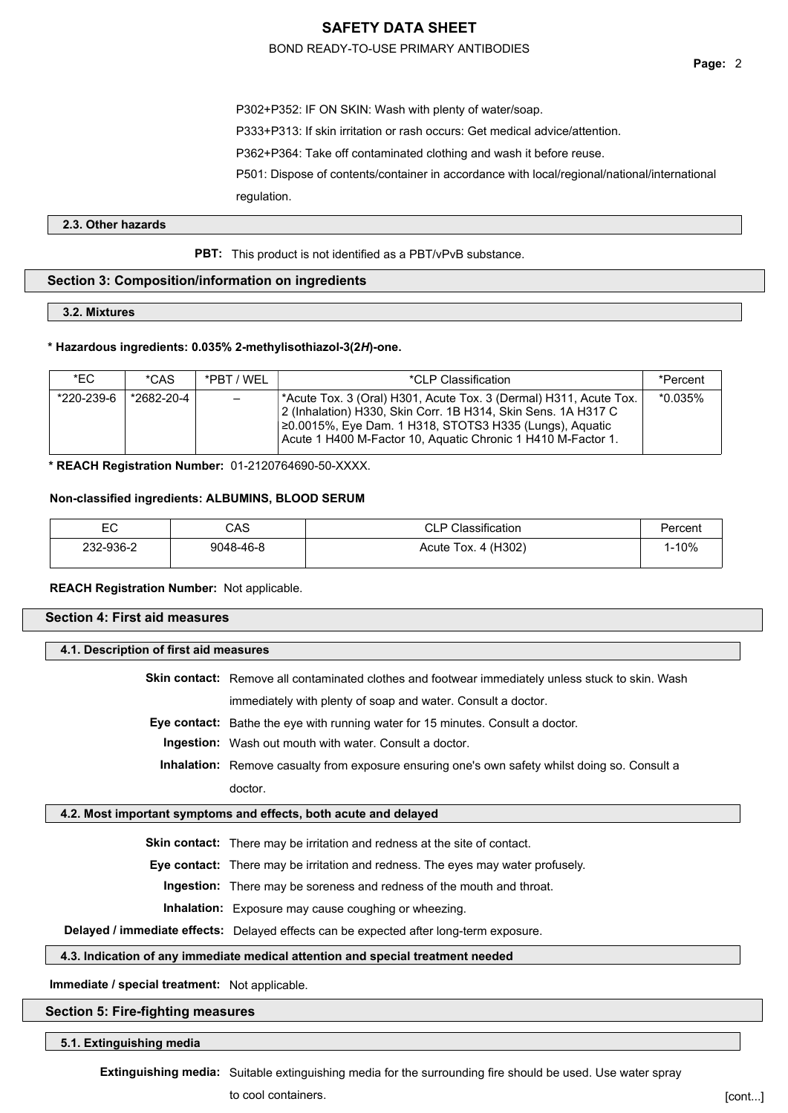#### BOND READY-TO-USE PRIMARY ANTIBODIES

**Page:** 2

P302+P352: IF ON SKIN: Wash with plenty of water/soap. P333+P313: If skin irritation or rash occurs: Get medical advice/attention. P362+P364: Take off contaminated clothing and wash it before reuse. P501: Dispose of contents/container in accordance with local/regional/national/international regulation.

#### **2.3. Other hazards**

**PBT:** This product is not identified as a PBT/vPvB substance.

#### **Section 3: Composition/information on ingredients**

**3.2. Mixtures**

#### **\* Hazardous ingredients: 0.035% 2-methylisothiazol-3(2***H***)-one.**

| *EC.       | *CAS       | *PRT / WFI               | *CLP Classification                                                                                                                                                                                                                                           | *Percent   |
|------------|------------|--------------------------|---------------------------------------------------------------------------------------------------------------------------------------------------------------------------------------------------------------------------------------------------------------|------------|
| *220-239-6 | *2682-20-4 | $\overline{\phantom{0}}$ | *Acute Tox. 3 (Oral) H301, Acute Tox. 3 (Dermal) H311, Acute Tox.<br>2 (Inhalation) H330, Skin Corr. 1B H314, Skin Sens. 1A H317 C<br>20.0015%, Eye Dam. 1 H318, STOTS3 H335 (Lungs), Aguatic<br>Acute 1 H400 M-Factor 10, Aquatic Chronic 1 H410 M-Factor 1. | $*0.035\%$ |

**\* REACH Registration Number:** 01-2120764690-50-XXXX.

#### **Non-classified ingredients: ALBUMINS, BLOOD SERUM**

| EC<br>$\sim$ | CAS       | Classification         |              |
|--------------|-----------|------------------------|--------------|
| 232-936-2    | 9048-46-8 | 4 (H302)<br>Acute Tox. | <b>I-10%</b> |

#### **REACH Registration Number:** Not applicable.

| <b>Section 4: First aid measures</b>   |                                                                                                   |  |  |
|----------------------------------------|---------------------------------------------------------------------------------------------------|--|--|
| 4.1. Description of first aid measures |                                                                                                   |  |  |
|                                        | Skin contact: Remove all contaminated clothes and footwear immediately unless stuck to skin. Wash |  |  |
|                                        | immediately with plenty of soap and water. Consult a doctor.                                      |  |  |
|                                        | <b>Eye contact:</b> Bathe the eye with running water for 15 minutes. Consult a doctor.            |  |  |
|                                        | <b>Ingestion:</b> Wash out mouth with water. Consult a doctor.                                    |  |  |
|                                        | Inhalation: Remove casualty from exposure ensuring one's own safety whilst doing so. Consult a    |  |  |
|                                        | doctor.                                                                                           |  |  |
|                                        | 4.2. Most important symptoms and effects, both acute and delayed                                  |  |  |
|                                        | <b>Skin contact:</b> There may be irritation and redness at the site of contact.                  |  |  |
|                                        | <b>Eye contact:</b> There may be irritation and redness. The eyes may water profusely.            |  |  |
|                                        | Ingestion: There may be soreness and redness of the mouth and throat.                             |  |  |
|                                        | <b>Inhalation:</b> Exposure may cause coughing or wheezing.                                       |  |  |
|                                        | Delayed / immediate effects: Delayed effects can be expected after long-term exposure.            |  |  |

#### **4.3. Indication of any immediate medical attention and special treatment needed**

**Immediate / special treatment:** Not applicable.

#### **Section 5: Fire-fighting measures**

**5.1. Extinguishing media**

**Extinguishing media:** Suitable extinguishing media for the surrounding fire should be used. Use water spray

to cool containers.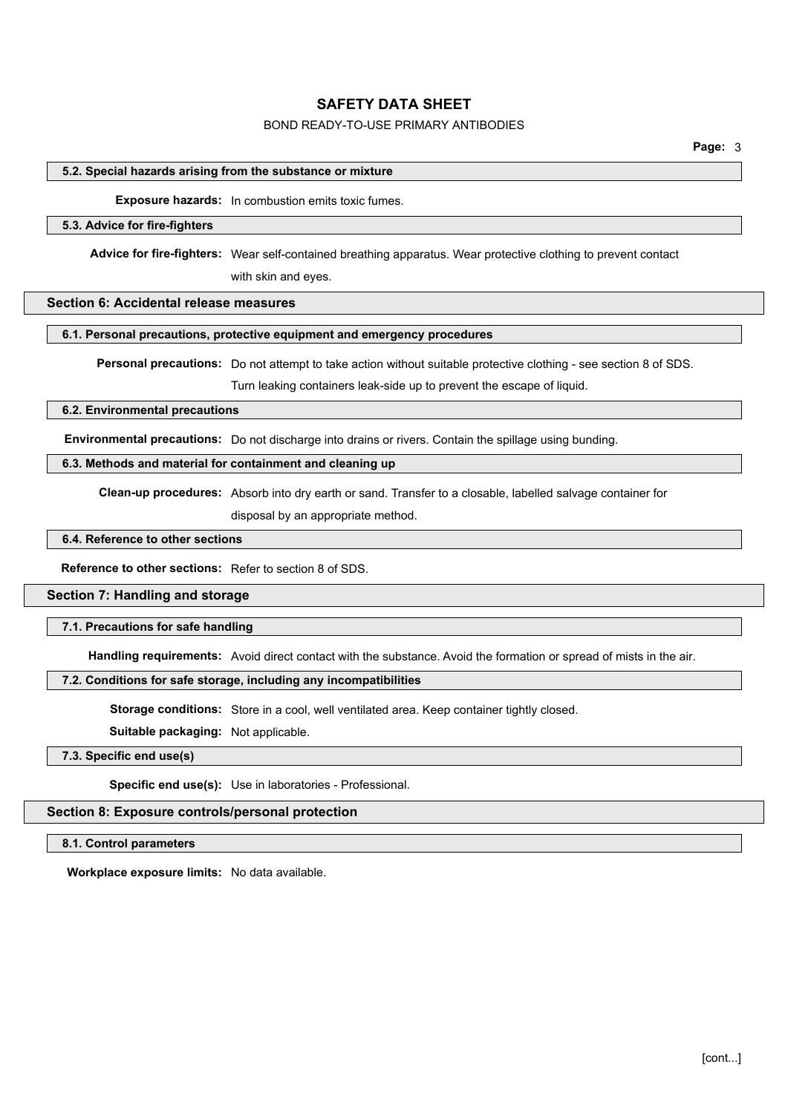### BOND READY-TO-USE PRIMARY ANTIBODIES

#### **5.2. Special hazards arising from the substance or mixture**

**Exposure hazards:** In combustion emits toxic fumes.

#### **5.3. Advice for fire-fighters**

**Advice for fire-fighters:** Wear self-contained breathing apparatus. Wear protective clothing to prevent contact with skin and eyes.

#### **Section 6: Accidental release measures**

#### **6.1. Personal precautions, protective equipment and emergency procedures**

**Personal precautions:** Do not attempt to take action without suitable protective clothing - see section 8 of SDS.

Turn leaking containers leak-side up to prevent the escape of liquid.

#### **6.2. Environmental precautions**

**Environmental precautions:** Do not discharge into drains or rivers. Contain the spillage using bunding.

#### **6.3. Methods and material for containment and cleaning up**

**Clean-up procedures:** Absorb into dry earth or sand. Transfer to a closable, labelled salvage container for

disposal by an appropriate method.

### **6.4. Reference to other sections**

**Reference to other sections:** Refer to section 8 of SDS.

#### **Section 7: Handling and storage**

#### **7.1. Precautions for safe handling**

**Handling requirements:** Avoid direct contact with the substance. Avoid the formation or spread of mists in the air.

#### **7.2. Conditions for safe storage, including any incompatibilities**

**Storage conditions:** Store in a cool, well ventilated area. Keep container tightly closed.

**Suitable packaging:** Not applicable.

#### **7.3. Specific end use(s)**

**Specific end use(s):** Use in laboratories - Professional.

#### **Section 8: Exposure controls/personal protection**

#### **8.1. Control parameters**

**Workplace exposure limits:** No data available.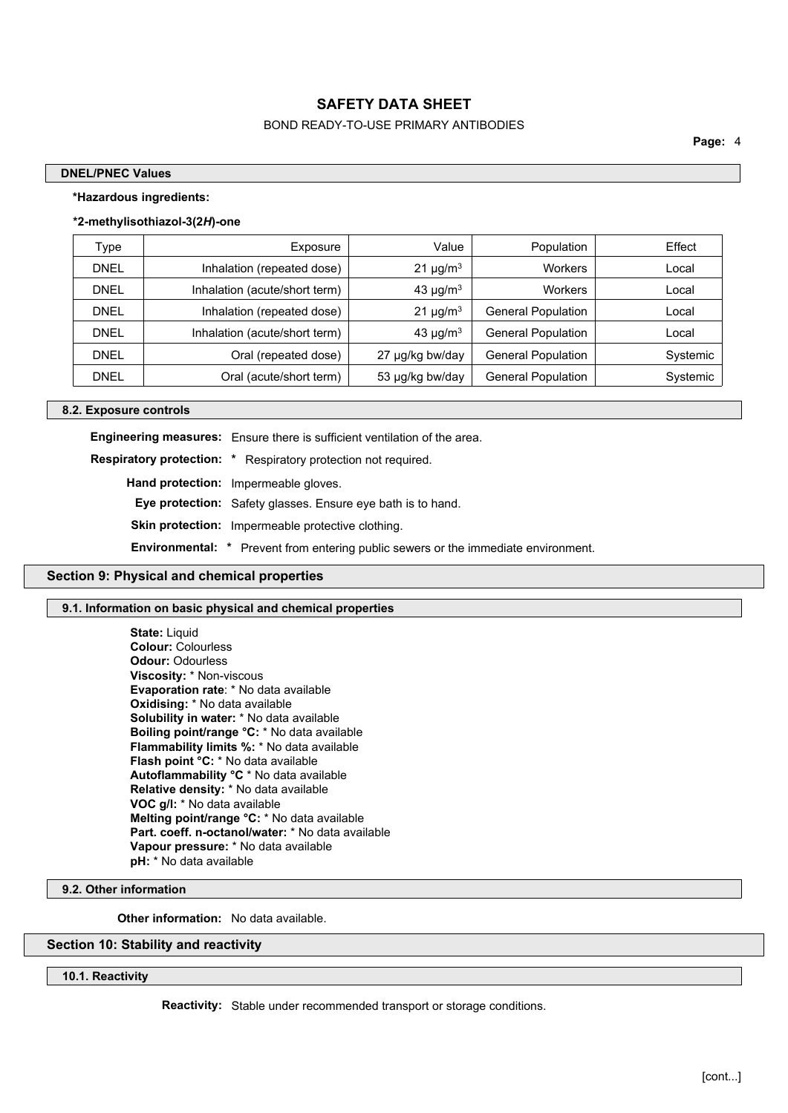### BOND READY-TO-USE PRIMARY ANTIBODIES

**Page:** 4

#### **DNEL/PNEC Values**

#### **\*Hazardous ingredients:**

#### **\*2-methylisothiazol-3(2***H***)-one**

| Type        | Exposure                      | Value                     | Population                | Effect   |
|-------------|-------------------------------|---------------------------|---------------------------|----------|
| <b>DNEL</b> | Inhalation (repeated dose)    | $21 \mu g/m3$             | <b>Workers</b>            | Local    |
| <b>DNEL</b> | Inhalation (acute/short term) | 43 $\mu$ g/m <sup>3</sup> | <b>Workers</b>            | Local    |
| <b>DNEL</b> | Inhalation (repeated dose)    | $21 \mu g/m3$             | <b>General Population</b> | Local    |
| <b>DNEL</b> | Inhalation (acute/short term) | 43 $\mu$ g/m <sup>3</sup> | <b>General Population</b> | Local    |
| <b>DNEL</b> | Oral (repeated dose)          | 27 µg/kg bw/day           | <b>General Population</b> | Systemic |
| <b>DNEL</b> | Oral (acute/short term)       | 53 µg/kg bw/day           | <b>General Population</b> | Systemic |

#### **8.2. Exposure controls**

**Engineering measures:** Ensure there is sufficient ventilation of the area.

**Respiratory protection: \*** Respiratory protection not required.

**Hand protection:** Impermeable gloves.

**Eye protection:** Safety glasses. Ensure eye bath is to hand.

**Skin protection:** Impermeable protective clothing.

**Environmental: \*** Prevent from entering public sewers or the immediate environment.

#### **Section 9: Physical and chemical properties**

#### **9.1. Information on basic physical and chemical properties**

**State:** Liquid **Colour:** Colourless **Odour:** Odourless **Viscosity:** \* Non-viscous **Evaporation rate**: \* No data available **Oxidising:** \* No data available **Solubility in water:** \* No data available **Boiling point/range °C:** \* No data available **Flammability limits %:** \* No data available **Flash point °C:** \* No data available **Autoflammability °C** \* No data available **Relative density:** \* No data available **VOC g/l:** \* No data available **Melting point/range °C:** \* No data available **Part. coeff. n-octanol/water:** \* No data available **Vapour pressure:** \* No data available **pH:** \* No data available

**9.2. Other information**

**Other information:** No data available.

#### **Section 10: Stability and reactivity**

#### **10.1. Reactivity**

**Reactivity:** Stable under recommended transport or storage conditions.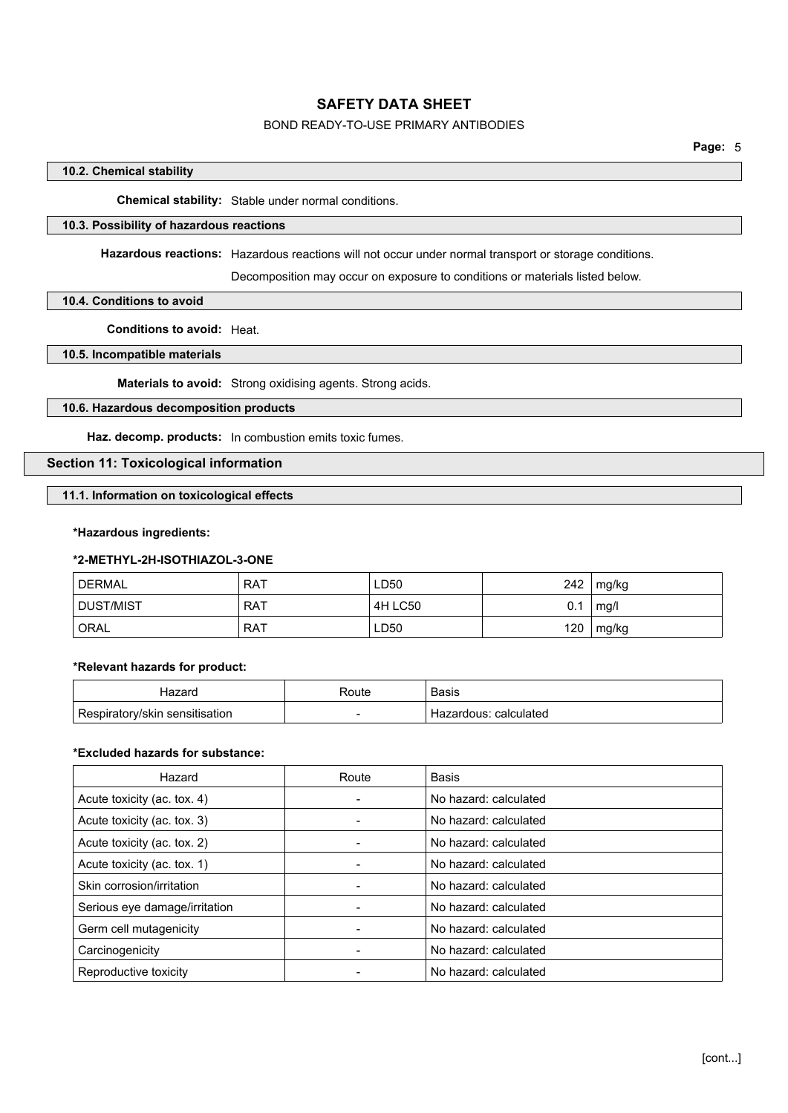### BOND READY-TO-USE PRIMARY ANTIBODIES

#### **10.2. Chemical stability**

**Chemical stability:** Stable under normal conditions.

### **10.3. Possibility of hazardous reactions**

**Hazardous reactions:** Hazardous reactions will not occur under normal transport or storage conditions.

Decomposition may occur on exposure to conditions or materials listed below.

#### **10.4. Conditions to avoid**

**Conditions to avoid:** Heat.

### **10.5. Incompatible materials**

**Materials to avoid:** Strong oxidising agents. Strong acids.

#### **10.6. Hazardous decomposition products**

**Haz. decomp. products:** In combustion emits toxic fumes.

### **Section 11: Toxicological information**

**11.1. Information on toxicological effects**

#### **\*Hazardous ingredients:**

#### **\*2-METHYL-2H-ISOTHIAZOL-3-ONE**

| <b>DERMAL</b>    | <b>RAT</b> | LD50    | 242 | mg/kg |
|------------------|------------|---------|-----|-------|
| <b>DUST/MIST</b> | <b>RAT</b> | 4H LC50 | 0.1 | mg/l  |
| <b>ORAL</b>      | <b>RAT</b> | LD50    | 120 | mg/kg |

#### **\*Relevant hazards for product:**

| ⊣azard                         | Route | <b>Basis</b>               |
|--------------------------------|-------|----------------------------|
| Respiratory/skin sensitisation | -     | : calculated<br>Hazardous: |

#### **\*Excluded hazards for substance:**

| Hazard                        | Route | Basis                 |
|-------------------------------|-------|-----------------------|
| Acute toxicity (ac. tox. 4)   |       | No hazard: calculated |
| Acute toxicity (ac. tox. 3)   |       | No hazard: calculated |
| Acute toxicity (ac. tox. 2)   |       | No hazard: calculated |
| Acute toxicity (ac. tox. 1)   |       | No hazard: calculated |
| Skin corrosion/irritation     |       | No hazard: calculated |
| Serious eye damage/irritation |       | No hazard: calculated |
| Germ cell mutagenicity        |       | No hazard: calculated |
| Carcinogenicity               |       | No hazard: calculated |
| Reproductive toxicity         |       | No hazard: calculated |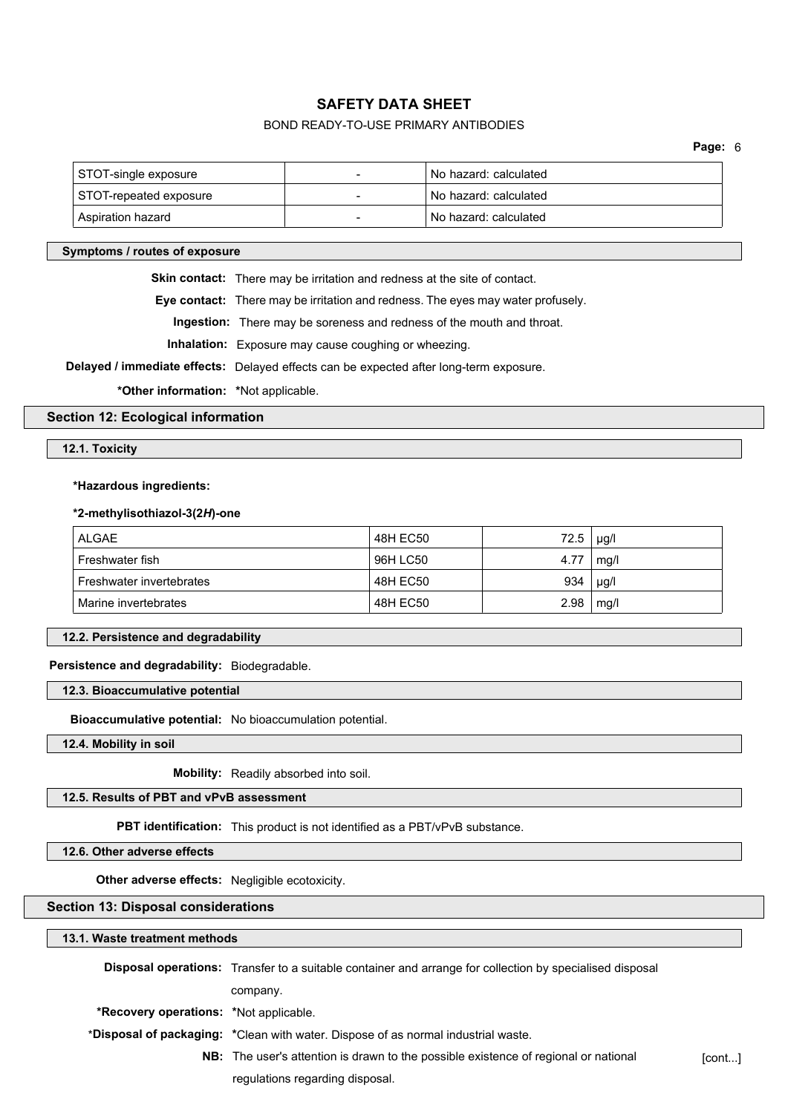### BOND READY-TO-USE PRIMARY ANTIBODIES

| STOT-single exposure   | No hazard: calculated |
|------------------------|-----------------------|
| STOT-repeated exposure | No hazard: calculated |
| Aspiration hazard      | No hazard: calculated |

#### **Symptoms / routes of exposure**

**Skin contact:** There may be irritation and redness at the site of contact.

**Eye contact:** There may be irritation and redness. The eyes may water profusely.

**Ingestion:** There may be soreness and redness of the mouth and throat.

**Inhalation:** Exposure may cause coughing or wheezing.

**Delayed / immediate effects:** Delayed effects can be expected after long-term exposure.

**\*Other information: \***Not applicable.

### **Section 12: Ecological information**

#### **12.1. Toxicity**

#### **\*Hazardous ingredients:**

#### **\*2-methylisothiazol-3(2***H***)-one**

| <b>ALGAE</b>             | 48H EC50 | 72.5 | $\mu$ g/l |
|--------------------------|----------|------|-----------|
| Freshwater fish          | 96H LC50 | 4.77 | mg/l      |
| Freshwater invertebrates | 48H EC50 | 934  | $\mu$ g/l |
| Marine invertebrates     | 48H EC50 | 2.98 | mg/l      |

#### **12.2. Persistence and degradability**

### **Persistence and degradability:** Biodegradable.

**12.3. Bioaccumulative potential**

**Bioaccumulative potential:** No bioaccumulation potential.

**12.4. Mobility in soil**

**Mobility:** Readily absorbed into soil.

#### **12.5. Results of PBT and vPvB assessment**

**PBT identification:** This product is not identified as a PBT/vPvB substance.

**12.6. Other adverse effects**

**Other adverse effects:** Negligible ecotoxicity.

### **Section 13: Disposal considerations**

#### **13.1. Waste treatment methods**

|                                               | <b>Disposal operations:</b> Transfer to a suitable container and arrange for collection by specialised disposal |        |
|-----------------------------------------------|-----------------------------------------------------------------------------------------------------------------|--------|
|                                               |                                                                                                                 |        |
|                                               | company.                                                                                                        |        |
| <b>*Recovery operations: *Not applicable.</b> |                                                                                                                 |        |
|                                               | *Disposal of packaging: *Clean with water. Dispose of as normal industrial waste.                               |        |
|                                               | <b>NB:</b> The user's attention is drawn to the possible existence of regional or national                      | [cont] |
|                                               | regulations regarding disposal.                                                                                 |        |